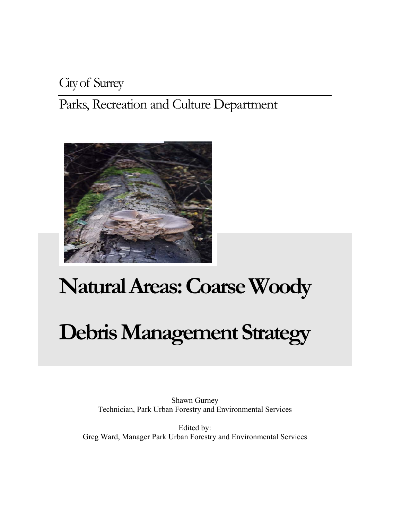# City of Surrey

Parks, Recreation and Culture Department



# **Natural Areas: Coarse Woody**

# **Debris Management Strategy**

Shawn Gurney Technician, Park Urban Forestry and Environmental Services

Edited by: Greg Ward, Manager Park Urban Forestry and Environmental Services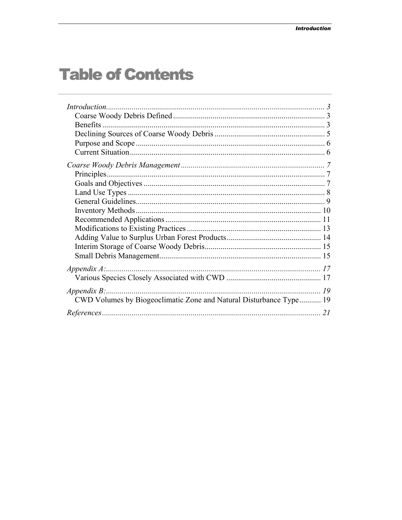# **Table of Contents**

| <b>Benefits</b>                                                    |  |
|--------------------------------------------------------------------|--|
|                                                                    |  |
|                                                                    |  |
|                                                                    |  |
|                                                                    |  |
|                                                                    |  |
|                                                                    |  |
|                                                                    |  |
|                                                                    |  |
|                                                                    |  |
|                                                                    |  |
|                                                                    |  |
|                                                                    |  |
|                                                                    |  |
|                                                                    |  |
| $Appendix A$ :                                                     |  |
|                                                                    |  |
| $Appendix B$ :                                                     |  |
| CWD Volumes by Biogeoclimatic Zone and Natural Disturbance Type 19 |  |
|                                                                    |  |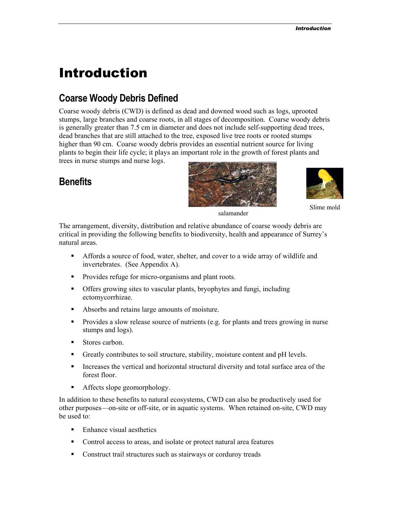# <span id="page-2-0"></span>Introduction

# **Coarse Woody Debris Defined**

Coarse woody debris (CWD) is defined as dead and downed wood such as logs, uprooted stumps, large branches and coarse roots, in all stages of decomposition. Coarse woody debris is generally greater than 7.5 cm in diameter and does not include self-supporting dead trees, dead branches that are still attached to the tree, exposed live tree roots or rooted stumps higher than 90 cm. Coarse woody debris provides an essential nutrient source for living plants to begin their life cycle; it plays an important role in the growth of forest plants and trees in nurse stumps and nurse logs.

# **Benefits**





Slime mold

salamander

The arrangement, diversity, distribution and relative abundance of coarse woody debris are critical in providing the following benefits to biodiversity, health and appearance of Surrey's natural areas.

- Affords a source of food, water, shelter, and cover to a wide array of wildlife and invertebrates. (See Appendix A).
- **Provides refuge for micro-organisms and plant roots.**
- Offers growing sites to vascular plants, bryophytes and fungi, including ectomycorrhizae.
- Absorbs and retains large amounts of moisture.
- Provides a slow release source of nutrients (e.g. for plants and trees growing in nurse stumps and logs).
- Stores carbon.
- Greatly contributes to soil structure, stability, moisture content and pH levels.
- Increases the vertical and horizontal structural diversity and total surface area of the forest floor.
- Affects slope geomorphology.

In addition to these benefits to natural ecosystems, CWD can also be productively used for other purposes—on-site or off-site, or in aquatic systems. When retained on-site, CWD may be used to:

- Enhance visual aesthetics
- Control access to areas, and isolate or protect natural area features
- Construct trail structures such as stairways or corduroy treads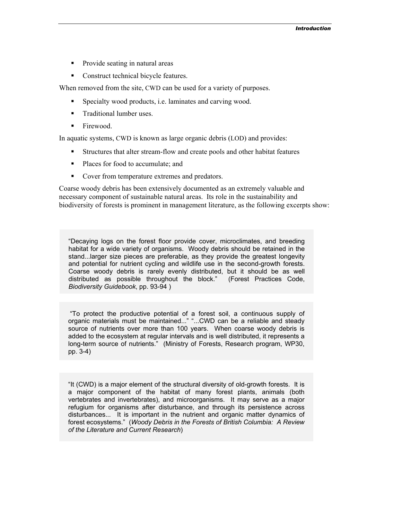- Provide seating in natural areas
- Construct technical bicycle features.

When removed from the site, CWD can be used for a variety of purposes.

- Specialty wood products, i.e. laminates and carving wood.
- **Traditional lumber uses.**
- Firewood.

In aquatic systems, CWD is known as large organic debris (LOD) and provides:

- Structures that alter stream-flow and create pools and other habitat features
- Places for food to accumulate; and
- Cover from temperature extremes and predators.

Coarse woody debris has been extensively documented as an extremely valuable and necessary component of sustainable natural areas. Its role in the sustainability and biodiversity of forests is prominent in management literature, as the following excerpts show:

"Decaying logs on the forest floor provide cover, microclimates, and breeding habitat for a wide variety of organisms. Woody debris should be retained in the stand...larger size pieces are preferable, as they provide the greatest longevity and potential for nutrient cycling and wildlife use in the second-growth forests. Coarse woody debris is rarely evenly distributed, but it should be as well distributed as possible throughout the block." (Forest Practices Code, *Biodiversity Guidebook*, pp. 93-94 )

"To protect the productive potential of a forest soil, a continuous supply of organic materials must be maintained..." "...CWD can be a reliable and steady source of nutrients over more than 100 years. When coarse woody debris is added to the ecosystem at regular intervals and is well distributed, it represents a long-term source of nutrients." (Ministry of Forests, Research program, WP30, pp. 3-4)

"It (CWD) is a major element of the structural diversity of old-growth forests. It is a major component of the habitat of many forest plants, animals (both vertebrates and invertebrates), and microorganisms. It may serve as a major refugium for organisms after disturbance, and through its persistence across disturbances... It is important in the nutrient and organic matter dynamics of forest ecosystems." (*Woody Debris in the Forests of British Columbia: A Review of the Literature and Current Research*)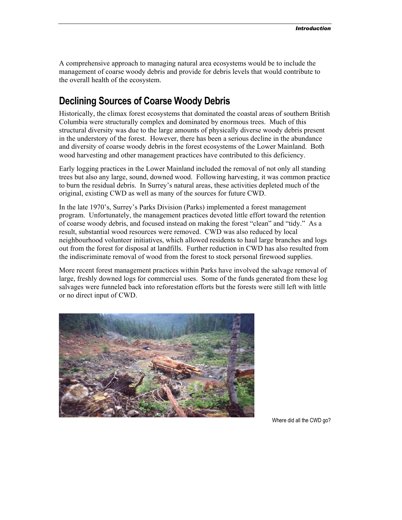<span id="page-4-0"></span>A comprehensive approach to managing natural area ecosystems would be to include the management of coarse woody debris and provide for debris levels that would contribute to the overall health of the ecosystem.

# **Declining Sources of Coarse Woody Debris**

Historically, the climax forest ecosystems that dominated the coastal areas of southern British Columbia were structurally complex and dominated by enormous trees. Much of this structural diversity was due to the large amounts of physically diverse woody debris present in the understory of the forest. However, there has been a serious decline in the abundance and diversity of coarse woody debris in the forest ecosystems of the Lower Mainland. Both wood harvesting and other management practices have contributed to this deficiency.

Early logging practices in the Lower Mainland included the removal of not only all standing trees but also any large, sound, downed wood. Following harvesting, it was common practice to burn the residual debris. In Surrey's natural areas, these activities depleted much of the original, existing CWD as well as many of the sources for future CWD.

In the late 1970's, Surrey's Parks Division (Parks) implemented a forest management program. Unfortunately, the management practices devoted little effort toward the retention of coarse woody debris, and focused instead on making the forest "clean" and "tidy." As a result, substantial wood resources were removed. CWD was also reduced by local neighbourhood volunteer initiatives, which allowed residents to haul large branches and logs out from the forest for disposal at landfills. Further reduction in CWD has also resulted from the indiscriminate removal of wood from the forest to stock personal firewood supplies.

More recent forest management practices within Parks have involved the salvage removal of large, freshly downed logs for commercial uses. Some of the funds generated from these log salvages were funneled back into reforestation efforts but the forests were still left with little or no direct input of CWD.



Where did all the CWD go?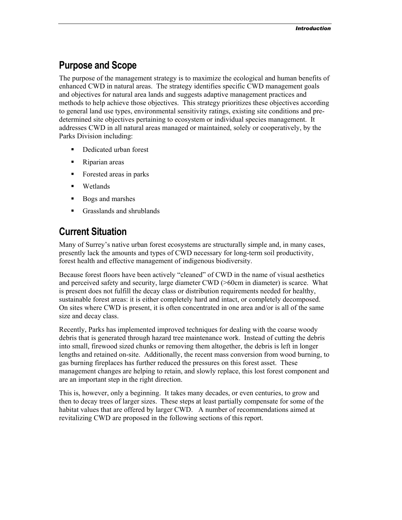## <span id="page-5-0"></span>**Purpose and Scope**

The purpose of the management strategy is to maximize the ecological and human benefits of enhanced CWD in natural areas. The strategy identifies specific CWD management goals and objectives for natural area lands and suggests adaptive management practices and methods to help achieve those objectives. This strategy prioritizes these objectives according to general land use types, environmental sensitivity ratings, existing site conditions and predetermined site objectives pertaining to ecosystem or individual species management. It addresses CWD in all natural areas managed or maintained, solely or cooperatively, by the Parks Division including:

- Dedicated urban forest
- Riparian areas
- Forested areas in parks
- **•** Wetlands
- Bogs and marshes
- **Grasslands and shrublands**

### **Current Situation**

Many of Surrey's native urban forest ecosystems are structurally simple and, in many cases, presently lack the amounts and types of CWD necessary for long-term soil productivity, forest health and effective management of indigenous biodiversity.

Because forest floors have been actively "cleaned" of CWD in the name of visual aesthetics and perceived safety and security, large diameter CWD (>60cm in diameter) is scarce. What is present does not fulfill the decay class or distribution requirements needed for healthy, sustainable forest areas: it is either completely hard and intact, or completely decomposed. On sites where CWD is present, it is often concentrated in one area and/or is all of the same size and decay class.

Recently, Parks has implemented improved techniques for dealing with the coarse woody debris that is generated through hazard tree maintenance work. Instead of cutting the debris into small, firewood sized chunks or removing them altogether, the debris is left in longer lengths and retained on-site. Additionally, the recent mass conversion from wood burning, to gas burning fireplaces has further reduced the pressures on this forest asset. These management changes are helping to retain, and slowly replace, this lost forest component and are an important step in the right direction.

This is, however, only a beginning. It takes many decades, or even centuries, to grow and then to decay trees of larger sizes. These steps at least partially compensate for some of the habitat values that are offered by larger CWD. A number of recommendations aimed at revitalizing CWD are proposed in the following sections of this report.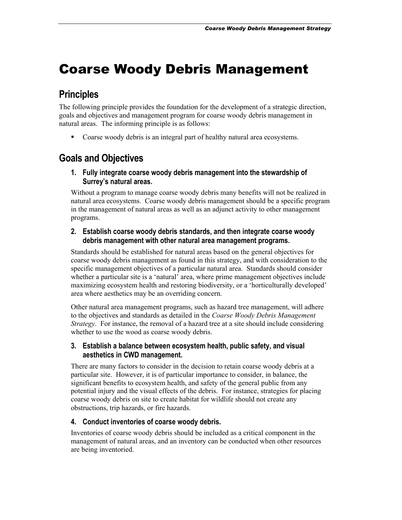# <span id="page-6-0"></span>Coarse Woody Debris Management

# **Principles**

The following principle provides the foundation for the development of a strategic direction, goals and objectives and management program for coarse woody debris management in natural areas. The informing principle is as follows:

• Coarse woody debris is an integral part of healthy natural area ecosystems.

# **Goals and Objectives**

**1. Fully integrate coarse woody debris management into the stewardship of Surrey's natural areas.** 

Without a program to manage coarse woody debris many benefits will not be realized in natural area ecosystems. Coarse woody debris management should be a specific program in the management of natural areas as well as an adjunct activity to other management programs.

#### **2. Establish coarse woody debris standards, and then integrate coarse woody debris management with other natural area management programs.**

Standards should be established for natural areas based on the general objectives for coarse woody debris management as found in this strategy, and with consideration to the specific management objectives of a particular natural area. Standards should consider whether a particular site is a 'natural' area, where prime management objectives include maximizing ecosystem health and restoring biodiversity, or a 'horticulturally developed' area where aesthetics may be an overriding concern.

Other natural area management programs, such as hazard tree management, will adhere to the objectives and standards as detailed in the *Coarse Woody Debris Management Strategy*. For instance, the removal of a hazard tree at a site should include considering whether to use the wood as coarse woody debris.

#### **3. Establish a balance between ecosystem health, public safety, and visual aesthetics in CWD management.**

There are many factors to consider in the decision to retain coarse woody debris at a particular site. However, it is of particular importance to consider, in balance, the significant benefits to ecosystem health, and safety of the general public from any potential injury and the visual effects of the debris. For instance, strategies for placing coarse woody debris on site to create habitat for wildlife should not create any obstructions, trip hazards, or fire hazards.

#### **4. Conduct inventories of coarse woody debris.**

Inventories of coarse woody debris should be included as a critical component in the management of natural areas, and an inventory can be conducted when other resources are being inventoried.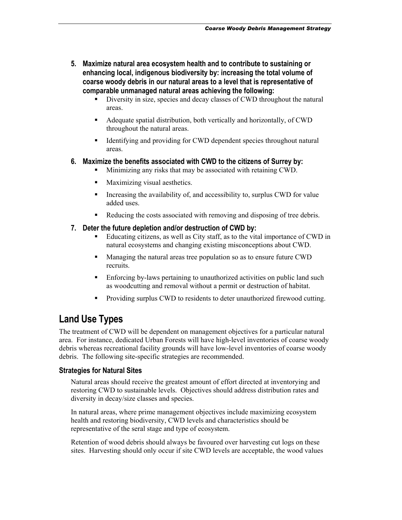- <span id="page-7-0"></span>**5. Maximize natural area ecosystem health and to contribute to sustaining or enhancing local, indigenous biodiversity by: increasing the total volume of coarse woody debris in our natural areas to a level that is representative of comparable unmanaged natural areas achieving the following:** 
	- Diversity in size, species and decay classes of CWD throughout the natural areas.
	- Adequate spatial distribution, both vertically and horizontally, of CWD throughout the natural areas.
	- Identifying and providing for CWD dependent species throughout natural areas.

#### **6. Maximize the benefits associated with CWD to the citizens of Surrey by:**

- Minimizing any risks that may be associated with retaining CWD.
- Maximizing visual aesthetics.
- Increasing the availability of, and accessibility to, surplus CWD for value added uses.
- Reducing the costs associated with removing and disposing of tree debris.

#### **7. Deter the future depletion and/or destruction of CWD by:**

- Educating citizens, as well as City staff, as to the vital importance of CWD in natural ecosystems and changing existing misconceptions about CWD.
- **Managing the natural areas tree population so as to ensure future CWD** recruits.
- Enforcing by-laws pertaining to unauthorized activities on public land such as woodcutting and removal without a permit or destruction of habitat.
- Providing surplus CWD to residents to deter unauthorized firewood cutting.

## **Land Use Types**

The treatment of CWD will be dependent on management objectives for a particular natural area. For instance, dedicated Urban Forests will have high-level inventories of coarse woody debris whereas recreational facility grounds will have low-level inventories of coarse woody debris. The following site-specific strategies are recommended.

#### **Strategies for Natural Sites**

Natural areas should receive the greatest amount of effort directed at inventorying and restoring CWD to sustainable levels. Objectives should address distribution rates and diversity in decay/size classes and species.

In natural areas, where prime management objectives include maximizing ecosystem health and restoring biodiversity, CWD levels and characteristics should be representative of the seral stage and type of ecosystem.

Retention of wood debris should always be favoured over harvesting cut logs on these sites. Harvesting should only occur if site CWD levels are acceptable, the wood values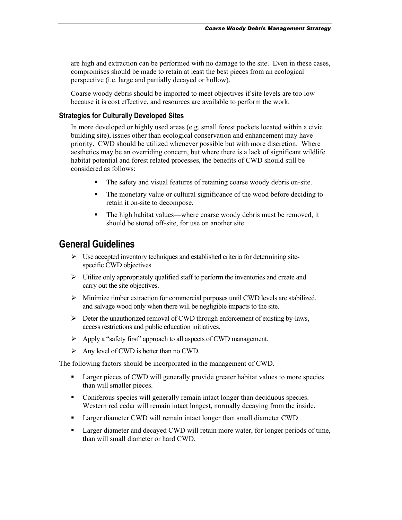<span id="page-8-0"></span>are high and extraction can be performed with no damage to the site. Even in these cases, compromises should be made to retain at least the best pieces from an ecological perspective (i.e. large and partially decayed or hollow).

Coarse woody debris should be imported to meet objectives if site levels are too low because it is cost effective, and resources are available to perform the work.

#### **Strategies for Culturally Developed Sites**

In more developed or highly used areas (e.g. small forest pockets located within a civic building site), issues other than ecological conservation and enhancement may have priority. CWD should be utilized whenever possible but with more discretion. Where aesthetics may be an overriding concern, but where there is a lack of significant wildlife habitat potential and forest related processes, the benefits of CWD should still be considered as follows:

- The safety and visual features of retaining coarse woody debris on-site.
- The monetary value or cultural significance of the wood before deciding to retain it on-site to decompose.
- The high habitat values—where coarse woody debris must be removed, it should be stored off-site, for use on another site.

# **General Guidelines**

- $\triangleright$  Use accepted inventory techniques and established criteria for determining sitespecific CWD objectives.
- $\triangleright$  Utilize only appropriately qualified staff to perform the inventories and create and carry out the site objectives.
- $\triangleright$  Minimize timber extraction for commercial purposes until CWD levels are stabilized, and salvage wood only when there will be negligible impacts to the site.
- $\triangleright$  Deter the unauthorized removal of CWD through enforcement of existing by-laws, access restrictions and public education initiatives.
- $\triangleright$  Apply a "safety first" approach to all aspects of CWD management.
- $\triangleright$  Any level of CWD is better than no CWD.

The following factors should be incorporated in the management of CWD.

- Larger pieces of CWD will generally provide greater habitat values to more species than will smaller pieces.
- Coniferous species will generally remain intact longer than deciduous species. Western red cedar will remain intact longest, normally decaying from the inside.
- **Larger diameter CWD will remain intact longer than small diameter CWD**
- Larger diameter and decayed CWD will retain more water, for longer periods of time, than will small diameter or hard CWD.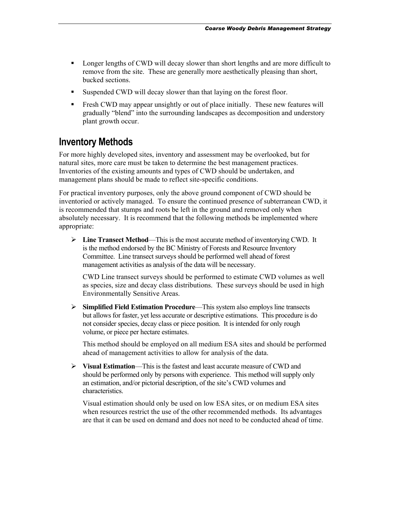- <span id="page-9-0"></span>**EXECUTE:** Longer lengths of CWD will decay slower than short lengths and are more difficult to remove from the site. These are generally more aesthetically pleasing than short, bucked sections.
- Suspended CWD will decay slower than that laying on the forest floor.
- Fresh CWD may appear unsightly or out of place initially. These new features will gradually "blend" into the surrounding landscapes as decomposition and understory plant growth occur.

#### **Inventory Methods**

For more highly developed sites, inventory and assessment may be overlooked, but for natural sites, more care must be taken to determine the best management practices. Inventories of the existing amounts and types of CWD should be undertaken, and management plans should be made to reflect site-specific conditions.

For practical inventory purposes, only the above ground component of CWD should be inventoried or actively managed. To ensure the continued presence of subterranean CWD, it is recommended that stumps and roots be left in the ground and removed only when absolutely necessary. It is recommend that the following methods be implemented where appropriate:

¾ **Line Transect Method**—This is the most accurate method of inventorying CWD. It is the method endorsed by the BC Ministry of Forests and Resource Inventory Committee. Line transect surveys should be performed well ahead of forest management activities as analysis of the data will be necessary.

CWD Line transect surveys should be performed to estimate CWD volumes as well as species, size and decay class distributions. These surveys should be used in high Environmentally Sensitive Areas.

¾ **Simplified Field Estimation Procedure**—This system also employs line transects but allows for faster, yet less accurate or descriptive estimations. This procedure is do not consider species, decay class or piece position. It is intended for only rough volume, or piece per hectare estimates.

This method should be employed on all medium ESA sites and should be performed ahead of management activities to allow for analysis of the data.

¾ **Visual Estimation**—This is the fastest and least accurate measure of CWD and should be performed only by persons with experience. This method will supply only an estimation, and/or pictorial description, of the site's CWD volumes and characteristics.

Visual estimation should only be used on low ESA sites, or on medium ESA sites when resources restrict the use of the other recommended methods. Its advantages are that it can be used on demand and does not need to be conducted ahead of time.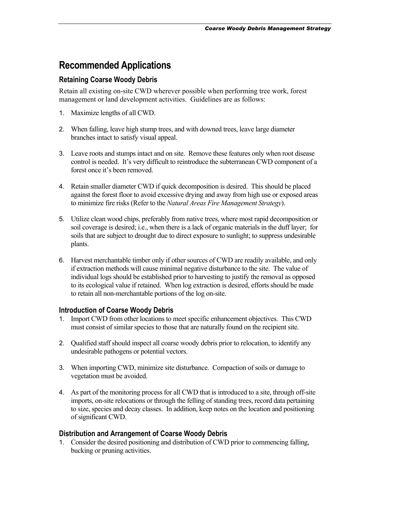## <span id="page-10-0"></span>**Recommended Applications**

#### **Retaining Coarse Woody Debris**

Retain all existing on-site CWD wherever possible when performing tree work, forest management or land development activities. Guidelines are as follows:

- 1. Maximize lengths of all CWD.
- 2. When falling, leave high stump trees, and with downed trees, leave large diameter branches intact to satisfy visual appeal.
- 3. Leave roots and stumps intact and on site. Remove these features only when root disease control is needed. It's very difficult to reintroduce the subterranean CWD component of a forest once it's been removed.
- 4. Retain smaller diameter CWD if quick decomposition is desired. This should be placed against the forest floor to avoid excessive drying and away from high use or exposed areas to minimize fire risks (Refer to the *Natural Areas Fire Management Strategy*).
- 5. Utilize clean wood chips, preferably from native trees, where most rapid decomposition or soil coverage is desired; i.e., when there is a lack of organic materials in the duff layer; for soils that are subject to drought due to direct exposure to sunlight; to suppress undesirable plants.
- 6. Harvest merchantable timber only if other sources of CWD are readily available, and only if extraction methods will cause minimal negative disturbance to the site. The value of individual logs should be established prior to harvesting to justify the removal as opposed to its ecological value if retained. When log extraction is desired, efforts should be made to retain all non-merchantable portions of the log on-site.

#### **Introduction of Coarse Woody Debris**

- 1. Import CWD from other locations to meet specific enhancement objectives. This CWD must consist of similar species to those that are naturally found on the recipient site.
- 2. Qualified staff should inspect all coarse woody debris prior to relocation, to identify any undesirable pathogens or potential vectors.
- 3. When importing CWD, minimize site disturbance. Compaction of soils or damage to vegetation must be avoided.
- 4. As part of the monitoring process for all CWD that is introduced to a site, through off-site imports, on-site relocations or through the felling of standing trees, record data pertaining to size, species and decay classes. In addition, keep notes on the location and positioning of significant CWD.

#### **Distribution and Arrangement of Coarse Woody Debris**

1. Consider the desired positioning and distribution of CWD prior to commencing falling, bucking or pruning activities.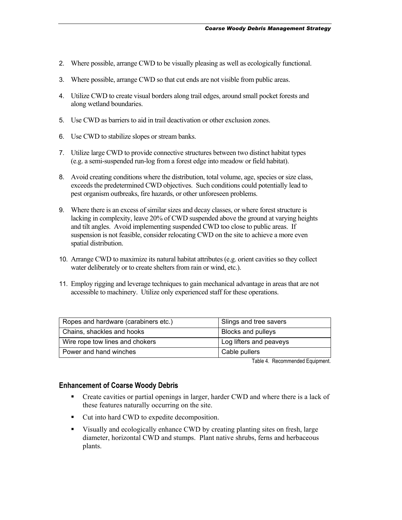- 2. Where possible, arrange CWD to be visually pleasing as well as ecologically functional.
- 3. Where possible, arrange CWD so that cut ends are not visible from public areas.
- 4. Utilize CWD to create visual borders along trail edges, around small pocket forests and along wetland boundaries.
- 5. Use CWD as barriers to aid in trail deactivation or other exclusion zones.
- 6. Use CWD to stabilize slopes or stream banks.
- 7. Utilize large CWD to provide connective structures between two distinct habitat types (e.g. a semi-suspended run-log from a forest edge into meadow or field habitat).
- 8. Avoid creating conditions where the distribution, total volume, age, species or size class, exceeds the predetermined CWD objectives. Such conditions could potentially lead to pest organism outbreaks, fire hazards, or other unforeseen problems.
- 9. Where there is an excess of similar sizes and decay classes, or where forest structure is lacking in complexity, leave 20% of CWD suspended above the ground at varying heights and tilt angles. Avoid implementing suspended CWD too close to public areas. If suspension is not feasible, consider relocating CWD on the site to achieve a more even spatial distribution.
- 10. Arrange CWD to maximize its natural habitat attributes (e.g. orient cavities so they collect water deliberately or to create shelters from rain or wind, etc.).
- 11. Employ rigging and leverage techniques to gain mechanical advantage in areas that are not accessible to machinery. Utilize only experienced staff for these operations.

| Ropes and hardware (carabiners etc.) | Slings and tree savers    |
|--------------------------------------|---------------------------|
| Chains, shackles and hooks           | <b>Blocks and pulleys</b> |
| Wire rope tow lines and chokers      | Log lifters and peaveys   |
| Power and hand winches               | Cable pullers             |

Table 4. Recommended Equipment.

#### **Enhancement of Coarse Woody Debris**

- Create cavities or partial openings in larger, harder CWD and where there is a lack of these features naturally occurring on the site.
- Cut into hard CWD to expedite decomposition.
- Visually and ecologically enhance CWD by creating planting sites on fresh, large diameter, horizontal CWD and stumps. Plant native shrubs, ferns and herbaceous plants.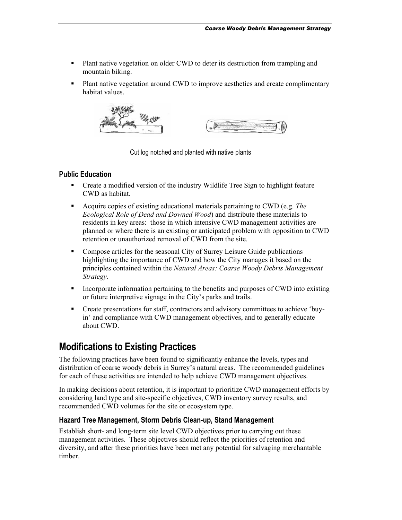- <span id="page-12-0"></span> Plant native vegetation on older CWD to deter its destruction from trampling and mountain biking.
- Plant native vegetation around CWD to improve aesthetics and create complimentary habitat values.



Cut log notched and planted with native plants

#### **Public Education**

- Create a modified version of the industry Wildlife Tree Sign to highlight feature CWD as habitat.
- Acquire copies of existing educational materials pertaining to CWD (e.g. *The Ecological Role of Dead and Downed Wood*) and distribute these materials to residents in key areas: those in which intensive CWD management activities are planned or where there is an existing or anticipated problem with opposition to CWD retention or unauthorized removal of CWD from the site.
- Compose articles for the seasonal City of Surrey Leisure Guide publications highlighting the importance of CWD and how the City manages it based on the principles contained within the *Natural Areas: Coarse Woody Debris Management Strategy*.
- **Incorporate information pertaining to the benefits and purposes of CWD into existing** or future interpretive signage in the City's parks and trails.
- Create presentations for staff, contractors and advisory committees to achieve 'buyin' and compliance with CWD management objectives, and to generally educate about CWD.

## **Modifications to Existing Practices**

The following practices have been found to significantly enhance the levels, types and distribution of coarse woody debris in Surrey's natural areas. The recommended guidelines for each of these activities are intended to help achieve CWD management objectives.

In making decisions about retention, it is important to prioritize CWD management efforts by considering land type and site-specific objectives, CWD inventory survey results, and recommended CWD volumes for the site or ecosystem type.

#### **Hazard Tree Management, Storm Debris Clean-up, Stand Management**

Establish short- and long-term site level CWD objectives prior to carrying out these management activities. These objectives should reflect the priorities of retention and diversity, and after these priorities have been met any potential for salvaging merchantable timber.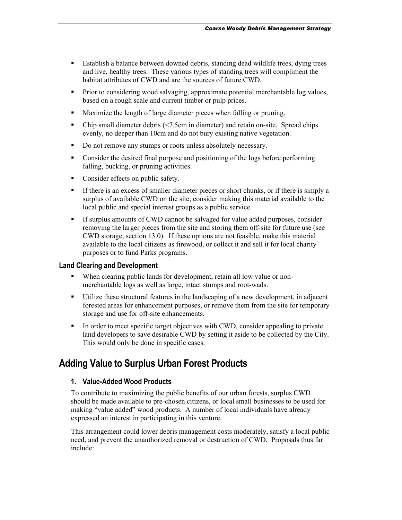- <span id="page-13-0"></span> Establish a balance between downed debris, standing dead wildlife trees, dying trees and live, healthy trees. These various types of standing trees will compliment the habitat attributes of CWD and are the sources of future CWD.
- Prior to considering wood salvaging, approximate potential merchantable log values, based on a rough scale and current timber or pulp prices.
- Maximize the length of large diameter pieces when falling or pruning.
- Chip small diameter debris (<7.5cm in diameter) and retain on-site. Spread chips evenly, no deeper than 10cm and do not bury existing native vegetation.
- Do not remove any stumps or roots unless absolutely necessary.
- Consider the desired final purpose and positioning of the logs before performing falling, bucking, or pruning activities.
- Consider effects on public safety.
- If there is an excess of smaller diameter pieces or short chunks, or if there is simply a surplus of available CWD on the site, consider making this material available to the local public and special interest groups as a public service
- If surplus amounts of CWD cannot be salvaged for value added purposes, consider removing the larger pieces from the site and storing them off-site for future use (see CWD storage, section 13.0). If these options are not feasible, make this material available to the local citizens as firewood, or collect it and sell it for local charity purposes or to fund Parks programs.

#### **Land Clearing and Development**

- When clearing public lands for development, retain all low value or nonmerchantable logs as well as large, intact stumps and root-wads.
- Utilize these structural features in the landscaping of a new development, in adjacent forested areas for enhancement purposes, or remove them from the site for temporary storage and use for off-site enhancements.
- In order to meet specific target objectives with CWD, consider appealing to private land developers to save desirable CWD by setting it aside to be collected by the City. This would only be done in specific cases.

## **Adding Value to Surplus Urban Forest Products**

#### **1. Value-Added Wood Products**

To contribute to maximizing the public benefits of our urban forests, surplus CWD should be made available to pre-chosen citizens, or local small businesses to be used for making "value added" wood products. A number of local individuals have already expressed an interest in participating in this venture.

This arrangement could lower debris management costs moderately, satisfy a local public need, and prevent the unauthorized removal or destruction of CWD. Proposals thus far include: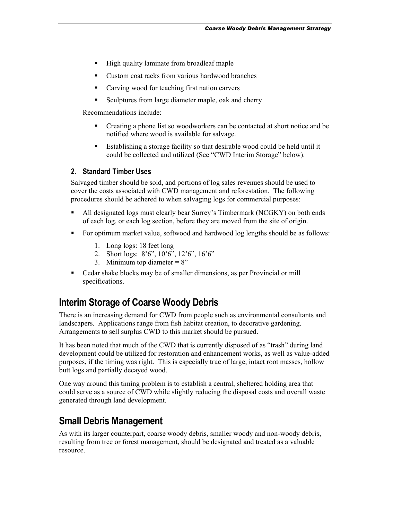- <span id="page-14-0"></span>■ High quality laminate from broadleaf maple
- Custom coat racks from various hardwood branches
- Carving wood for teaching first nation carvers
- Sculptures from large diameter maple, oak and cherry

Recommendations include:

- Creating a phone list so woodworkers can be contacted at short notice and be notified where wood is available for salvage.
- Establishing a storage facility so that desirable wood could be held until it could be collected and utilized (See "CWD Interim Storage" below).

#### **2. Standard Timber Uses**

Salvaged timber should be sold, and portions of log sales revenues should be used to cover the costs associated with CWD management and reforestation. The following procedures should be adhered to when salvaging logs for commercial purposes:

- All designated logs must clearly bear Surrey's Timbermark (NCGKY) on both ends of each log, or each log section, before they are moved from the site of origin.
- For optimum market value, softwood and hardwood log lengths should be as follows:
	- 1. Long logs: 18 feet long
	- 2. Short logs: 8'6", 10'6", 12'6", 16'6"
	- 3. Minimum top diameter  $= 8$ "
- Cedar shake blocks may be of smaller dimensions, as per Provincial or mill specifications.

### **Interim Storage of Coarse Woody Debris**

There is an increasing demand for CWD from people such as environmental consultants and landscapers. Applications range from fish habitat creation, to decorative gardening. Arrangements to sell surplus CWD to this market should be pursued.

It has been noted that much of the CWD that is currently disposed of as "trash" during land development could be utilized for restoration and enhancement works, as well as value-added purposes, if the timing was right. This is especially true of large, intact root masses, hollow butt logs and partially decayed wood.

One way around this timing problem is to establish a central, sheltered holding area that could serve as a source of CWD while slightly reducing the disposal costs and overall waste generated through land development.

## **Small Debris Management**

As with its larger counterpart, coarse woody debris, smaller woody and non-woody debris, resulting from tree or forest management, should be designated and treated as a valuable resource.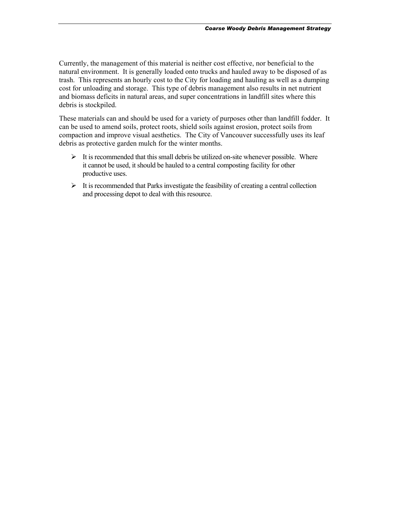Currently, the management of this material is neither cost effective, nor beneficial to the natural environment. It is generally loaded onto trucks and hauled away to be disposed of as trash. This represents an hourly cost to the City for loading and hauling as well as a dumping cost for unloading and storage. This type of debris management also results in net nutrient and biomass deficits in natural areas, and super concentrations in landfill sites where this debris is stockpiled.

These materials can and should be used for a variety of purposes other than landfill fodder. It can be used to amend soils, protect roots, shield soils against erosion, protect soils from compaction and improve visual aesthetics. The City of Vancouver successfully uses its leaf debris as protective garden mulch for the winter months.

- $\triangleright$  It is recommended that this small debris be utilized on-site whenever possible. Where it cannot be used, it should be hauled to a central composting facility for other productive uses.
- $\triangleright$  It is recommended that Parks investigate the feasibility of creating a central collection and processing depot to deal with this resource.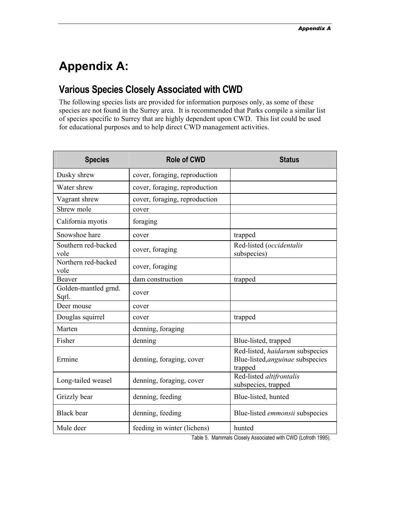# <span id="page-16-0"></span>**Appendix A:**

# **Various Species Closely Associated with CWD**

The following species lists are provided for information purposes only, as some of these species are not found in the Surrey area. It is recommended that Parks compile a similar list of species specific to Surrey that are highly dependent upon CWD. This list could be used for educational purposes and to help direct CWD management activities.

| <b>Species</b>                | <b>Role of CWD</b>                                       | <b>Status</b>                                                                  |  |
|-------------------------------|----------------------------------------------------------|--------------------------------------------------------------------------------|--|
| Dusky shrew                   | cover, foraging, reproduction                            |                                                                                |  |
| Water shrew                   | cover, foraging, reproduction                            |                                                                                |  |
| Vagrant shrew                 | cover, foraging, reproduction                            |                                                                                |  |
| Shrew mole                    | cover                                                    |                                                                                |  |
| California myotis             | foraging                                                 |                                                                                |  |
| Snowshoe hare                 | cover                                                    | trapped                                                                        |  |
| Southern red-backed<br>vole   | cover, foraging                                          | Red-listed (occidentalis<br>subspecies)                                        |  |
| Northern red-backed<br>vole   | cover, foraging                                          |                                                                                |  |
| Beaver                        | dam construction                                         | trapped                                                                        |  |
| Golden-mantled grnd.<br>Sqrl. | cover                                                    |                                                                                |  |
| Deer mouse                    | cover                                                    |                                                                                |  |
| Douglas squirrel              | cover                                                    | trapped                                                                        |  |
| Marten                        | denning, foraging                                        |                                                                                |  |
| Fisher                        | denning                                                  | Blue-listed, trapped                                                           |  |
| Ermine                        | denning, foraging, cover                                 | Red-listed, haidarum subspecies<br>Blue-listed, anguinae subspecies<br>trapped |  |
| Long-tailed weasel            | denning, foraging, cover                                 | Red-listed altifrontalis<br>subspecies, trapped                                |  |
| Grizzly bear                  | denning, feeding                                         | Blue-listed, hunted                                                            |  |
| <b>Black</b> bear             | denning, feeding                                         | Blue-listed emmonsii subspecies                                                |  |
| Mule deer                     | feeding in winter (lichens)<br>$T = k \cdot L$ $R = M -$ | hunted<br>O(1)                                                                 |  |

Table 5. Mammals Closely Associated with CWD (Lofroth 1995).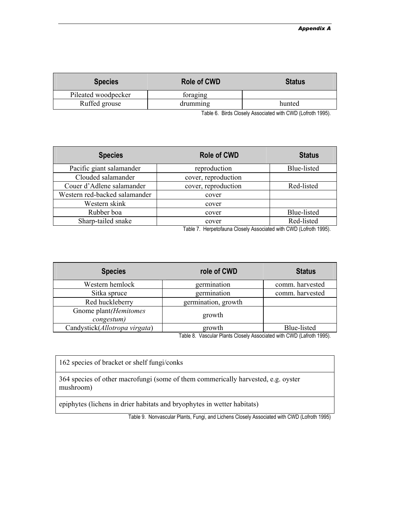| <b>Species</b>      | <b>Role of CWD</b> | <b>Status</b> |
|---------------------|--------------------|---------------|
| Pileated woodpecker | foraging           |               |
| Ruffed grouse       | drumming           | hunted        |

Table 6. Birds Closely Associated with CWD (Lofroth 1995).

| <b>Species</b>                | <b>Role of CWD</b>  | <b>Status</b> |
|-------------------------------|---------------------|---------------|
| Pacific giant salamander      | reproduction        | Blue-listed   |
| Clouded salamander            | cover, reproduction |               |
| Couer d'Adlene salamander     | cover, reproduction | Red-listed    |
| Western red-backed salamander | cover               |               |
| Western skink                 | cover               |               |
| Rubber boa                    | cover               | Blue-listed   |
| Sharp-tailed snake            | cover               | Red-listed    |

Table 7. Herpetofauna Closely Associated with CWD (Lofroth 1995).

| <b>Species</b>                      | role of CWD         | <b>Status</b>   |
|-------------------------------------|---------------------|-----------------|
| Western hemlock                     | germination         | comm. harvested |
| Sitka spruce                        | germination         | comm. harvested |
| Red huckleberry                     | germination, growth |                 |
| Gnome plant(Hemitomes<br>congestum) | growth              |                 |
| Candystick(Allotropa virgata)       | growth<br>_ _       | Blue-listed     |

Table 8. Vascular Plants Closely Associated with CWD (Lafroth 1995).

162 species of bracket or shelf fungi/conks

364 species of other macrofungi (some of them commerically harvested, e.g. oyster mushroom)

epiphytes (lichens in drier habitats and bryophytes in wetter habitats)

Table 9. Nonvascular Plants, Fungi, and Lichens Closely Associated with CWD (Lofroth 1995)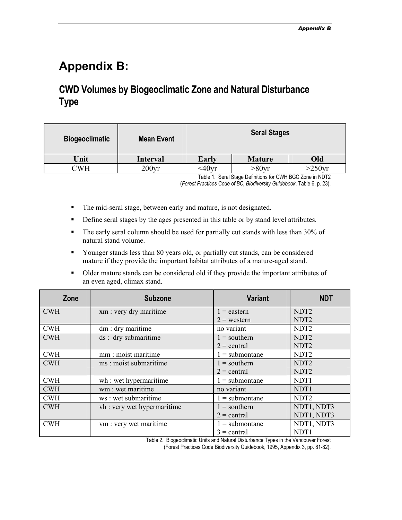# <span id="page-18-0"></span>**Appendix B:**

# **CWD Volumes by Biogeoclimatic Zone and Natural Disturbance Type**

| <b>Biogeoclimatic</b> | <b>Mean Event</b> | <b>Seral Stages</b> |                     |           |
|-----------------------|-------------------|---------------------|---------------------|-----------|
| Unit                  | <b>Interval</b>   | Early               | <b>Mature</b>       | Old       |
| ^WH                   | 200 <sub>yr</sub> | $<$ 40 $vr$         | $>80$ <sub>Vr</sub> | $>250$ vr |

Table 1. Seral Stage Definitions for CWH BGC Zone in NDT2

(*Forest Practices Code of BC, Biodiversity Guidebook*, Table 6, p. 23).

- The mid-seral stage, between early and mature, is not designated.
- Define seral stages by the ages presented in this table or by stand level attributes.
- The early seral column should be used for partially cut stands with less than 30% of natural stand volume.
- Younger stands less than 80 years old, or partially cut stands, can be considered mature if they provide the important habitat attributes of a mature-aged stand.
- Older mature stands can be considered old if they provide the important attributes of an even aged, climax stand.

| Zone       | <b>Subzone</b>             | <b>Variant</b>   | <b>NDT</b>       |
|------------|----------------------------|------------------|------------------|
| <b>CWH</b> | xm: very dry maritime      | $1 =$ eastern    | NDT <sub>2</sub> |
|            |                            | $2$ = western    | NDT <sub>2</sub> |
| <b>CWH</b> | $dm: dry$ maritime         | no variant       | NDT <sub>2</sub> |
| <b>CWH</b> | ds : dry submaritime       | $1 =$ southern   | NDT <sub>2</sub> |
|            |                            | $2 =$ central    | NDT <sub>2</sub> |
| <b>CWH</b> | mm: moist maritime         | $1 =$ submontane | NDT <sub>2</sub> |
| <b>CWH</b> | ms: moist submaritime      | $1 =$ southern   | NDT <sub>2</sub> |
|            |                            | $2 =$ central    | NDT <sub>2</sub> |
| <b>CWH</b> | wh : wet hypermaritime     | $1 =$ submontane | NDT1             |
| <b>CWH</b> | wm : wet maritime          | no variant       | NDT1             |
| <b>CWH</b> | ws: wet submaritime        | $1 =$ submontane | NDT <sub>2</sub> |
| <b>CWH</b> | vh: very wet hypermaritime | $1 =$ southern   | NDT1, NDT3       |
|            |                            | $2 =$ central    | NDT1, NDT3       |
| <b>CWH</b> | vm: very wet maritime      | $1 =$ submontane | NDT1, NDT3       |
|            |                            | $3 =$ central    | NDT1             |

Table 2. Biogeoclimatic Units and Natural Disturbance Types in the Vancouver Forest

(Forest Practices Code Biodiversity Guidebook, 1995, Appendix 3, pp. 81-82).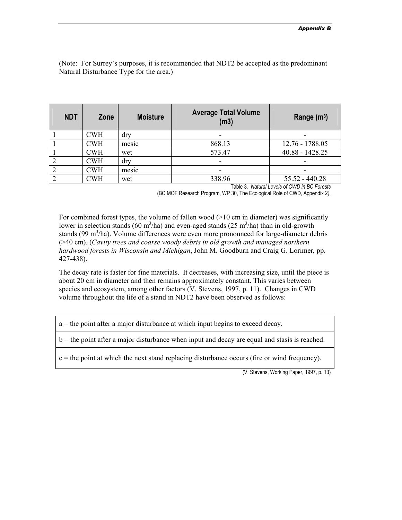(Note: For Surrey's purposes, it is recommended that NDT2 be accepted as the predominant Natural Disturbance Type for the area.)

| <b>NDT</b> | Zone       | <b>Moisture</b> | <b>Average Total Volume</b><br>(m3) | Range $(m^3)$            |
|------------|------------|-----------------|-------------------------------------|--------------------------|
|            | <b>CWH</b> | dry             |                                     |                          |
|            | <b>CWH</b> | mesic           | 868.13                              | 12.76 - 1788.05          |
|            | <b>CWH</b> | wet             | 573.47                              | $40.88 - 1428.25$        |
|            | <b>CWH</b> | dry             | -                                   | $\overline{\phantom{0}}$ |
|            | <b>CWH</b> | mesic           |                                     |                          |
|            | CWH        | wet             | 338.96                              | $55.52 - 440.28$         |

Table 3*. Natural Levels of CWD in BC Forests* 

(BC MOF Research Program, WP 30, The Ecological Role of CWD, Appendix 2*).* 

For combined forest types, the volume of fallen wood  $(>10 \text{ cm})$  in diameter) was significantly lower in selection stands (60 m<sup>3</sup>/ha) and even-aged stands (25 m<sup>3</sup>/ha) than in old-growth stands (99 m<sup>3</sup>/ha). Volume differences were even more pronounced for large-diameter debris (>40 cm). (*Cavity trees and coarse woody debris in old growth and managed northern hardwood forests in Wisconsin and Michigan*, John M. Goodburn and Craig G. Lorimer*,* pp. 427-438).

The decay rate is faster for fine materials. It decreases, with increasing size, until the piece is about 20 cm in diameter and then remains approximately constant. This varies between species and ecosystem, among other factors (V. Stevens, 1997, p. 11). Changes in CWD volume throughout the life of a stand in NDT2 have been observed as follows:

a = the point after a major disturbance at which input begins to exceed decay.

b = the point after a major disturbance when input and decay are equal and stasis is reached.

 $c =$  the point at which the next stand replacing disturbance occurs (fire or wind frequency).

(V. Stevens, Working Paper, 1997, p. 13)